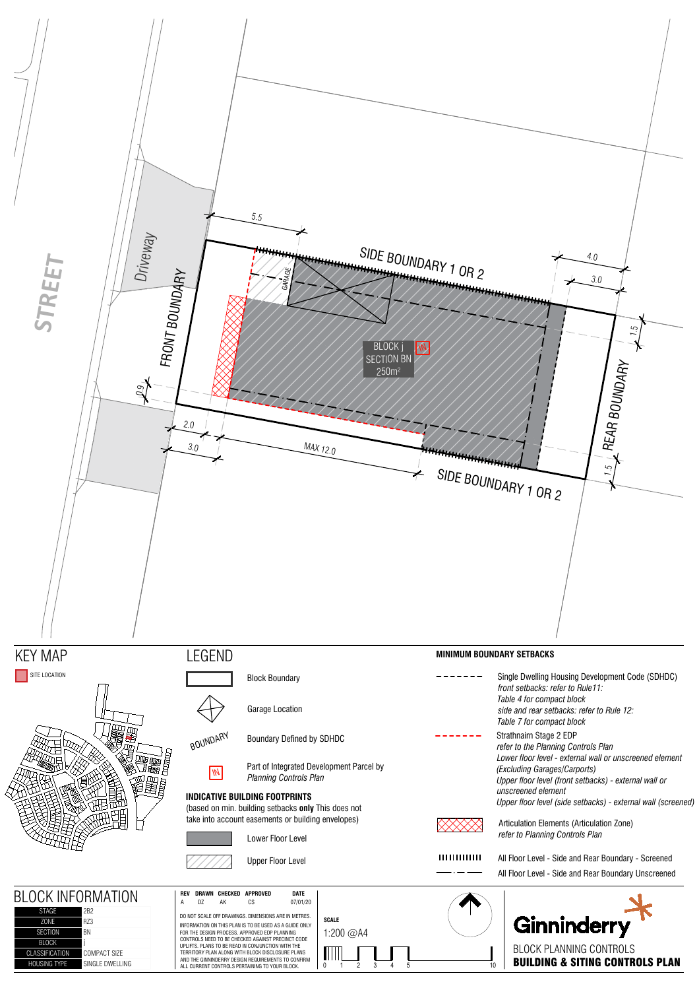